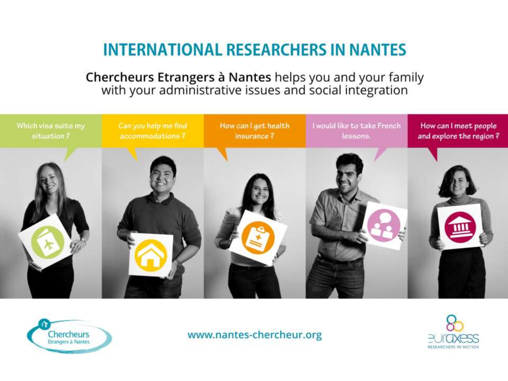## **INTERNATIONAL RESEARCHERS IN NANTES**

Chercheurs Etrangers à Nantes helps you and your family<br>with your administrative issues and social integration





www.nantes-chercheur.org

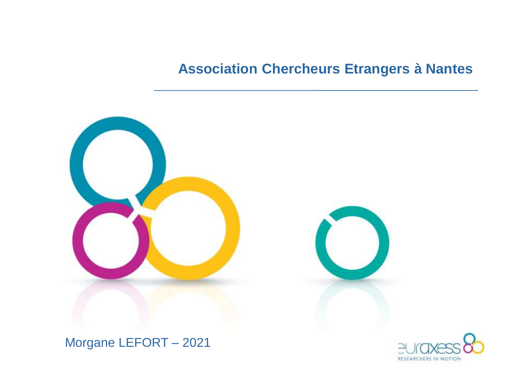## **Association Chercheurs Etrangers à Nantes**



Morgane LEFORT - 2021

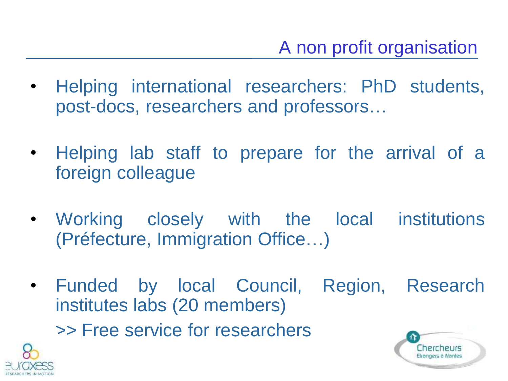- Helping international researchers: PhD students, post-docs, researchers and professors…
- Helping lab staff to prepare for the arrival of a foreign colleague
- Working closely with the local institutions (Préfecture, Immigration Office…)
- Funded by local Council, Region, Research institutes labs (20 members) >> Free service for researchers

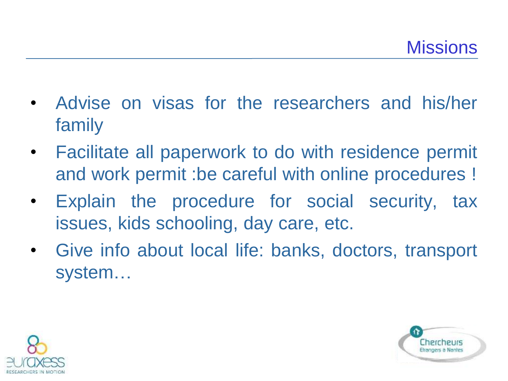- Advise on visas for the researchers and his/her family
- Facilitate all paperwork to do with residence permit and work permit :be careful with online procedures !
- Explain the procedure for social security, tax issues, kids schooling, day care, etc.
- Give info about local life: banks, doctors, transport system…



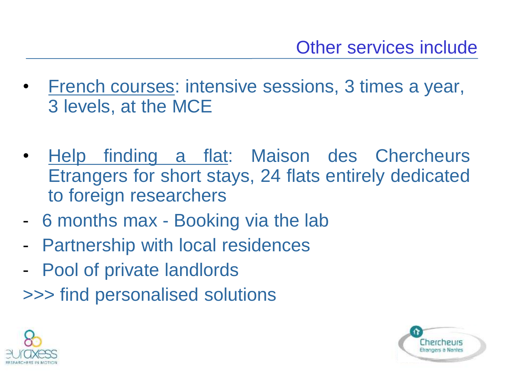- French courses: intensive sessions, 3 times a year, 3 levels, at the MCE
- Help finding a flat: Maison des Chercheurs Etrangers for short stays, 24 flats entirely dedicated to foreign researchers
- 6 months max Booking via the lab
- Partnership with local residences
- Pool of private landlords
- >>> find personalised solutions



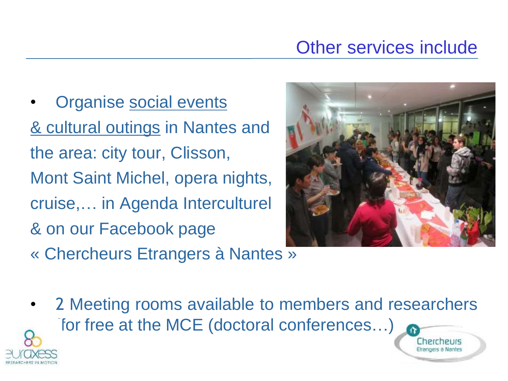## Other services include

Organise social events & cultural outings in Nantes and the area: city tour, Clisson, Mont Saint Michel, opera nights, cruise,… in Agenda Interculturel & on our Facebook page « Chercheurs Etrangers à Nantes »



2 Meeting rooms available to members and researchers for free at the MCE (doctoral conferences...)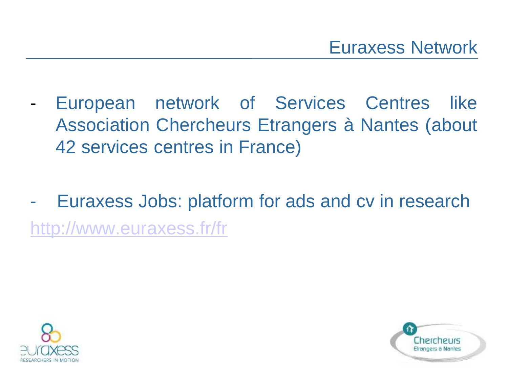- European network of Services Centres like Association Chercheurs Etrangers à Nantes (about 42 services centres in France)
- Euraxess Jobs: platform for ads and cv in research <http://www.euraxess.fr/fr>



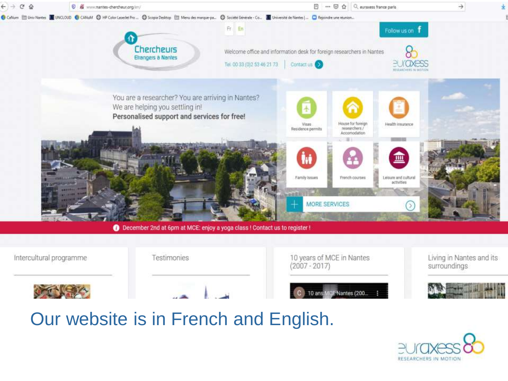

## Our website is in French and English.